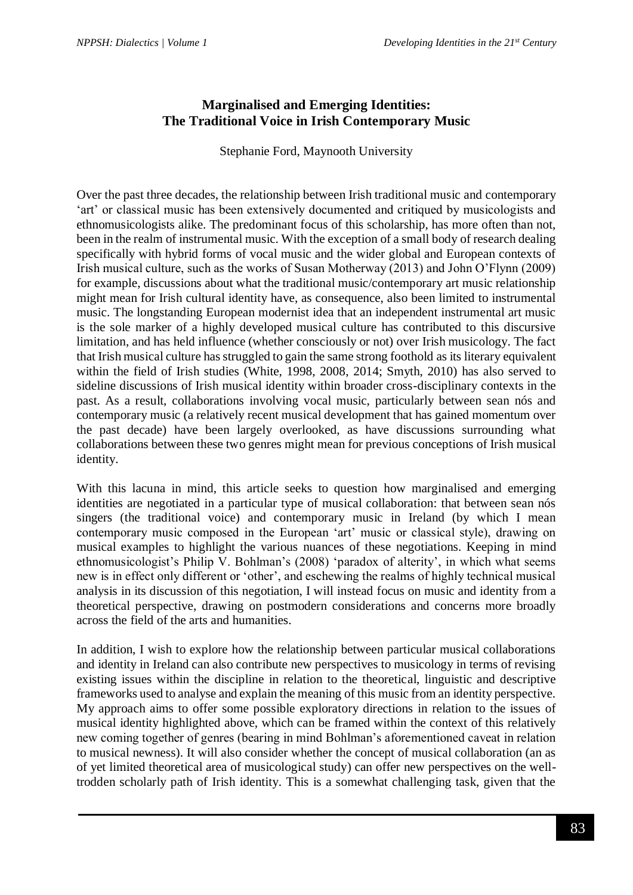# **Marginalised and Emerging Identities: The Traditional Voice in Irish Contemporary Music**

Stephanie Ford, Maynooth University

Over the past three decades, the relationship between Irish traditional music and contemporary 'art' or classical music has been extensively documented and critiqued by musicologists and ethnomusicologists alike. The predominant focus of this scholarship, has more often than not, been in the realm of instrumental music. With the exception of a small body of research dealing specifically with hybrid forms of vocal music and the wider global and European contexts of Irish musical culture, such as the works of Susan Motherway (2013) and John O'Flynn (2009) for example, discussions about what the traditional music/contemporary art music relationship might mean for Irish cultural identity have, as consequence, also been limited to instrumental music. The longstanding European modernist idea that an independent instrumental art music is the sole marker of a highly developed musical culture has contributed to this discursive limitation, and has held influence (whether consciously or not) over Irish musicology. The fact that Irish musical culture has struggled to gain the same strong foothold as its literary equivalent within the field of Irish studies (White, 1998, 2008, 2014; Smyth, 2010) has also served to sideline discussions of Irish musical identity within broader cross-disciplinary contexts in the past. As a result, collaborations involving vocal music, particularly between sean nós and contemporary music (a relatively recent musical development that has gained momentum over the past decade) have been largely overlooked, as have discussions surrounding what collaborations between these two genres might mean for previous conceptions of Irish musical identity.

With this lacuna in mind, this article seeks to question how marginalised and emerging identities are negotiated in a particular type of musical collaboration: that between sean nós singers (the traditional voice) and contemporary music in Ireland (by which I mean contemporary music composed in the European 'art' music or classical style), drawing on musical examples to highlight the various nuances of these negotiations. Keeping in mind ethnomusicologist's Philip V. Bohlman's (2008) 'paradox of alterity', in which what seems new is in effect only different or 'other', and eschewing the realms of highly technical musical analysis in its discussion of this negotiation, I will instead focus on music and identity from a theoretical perspective, drawing on postmodern considerations and concerns more broadly across the field of the arts and humanities.

In addition, I wish to explore how the relationship between particular musical collaborations and identity in Ireland can also contribute new perspectives to musicology in terms of revising existing issues within the discipline in relation to the theoretical, linguistic and descriptive frameworks used to analyse and explain the meaning of this music from an identity perspective. My approach aims to offer some possible exploratory directions in relation to the issues of musical identity highlighted above, which can be framed within the context of this relatively new coming together of genres (bearing in mind Bohlman's aforementioned caveat in relation to musical newness). It will also consider whether the concept of musical collaboration (an as of yet limited theoretical area of musicological study) can offer new perspectives on the welltrodden scholarly path of Irish identity. This is a somewhat challenging task, given that the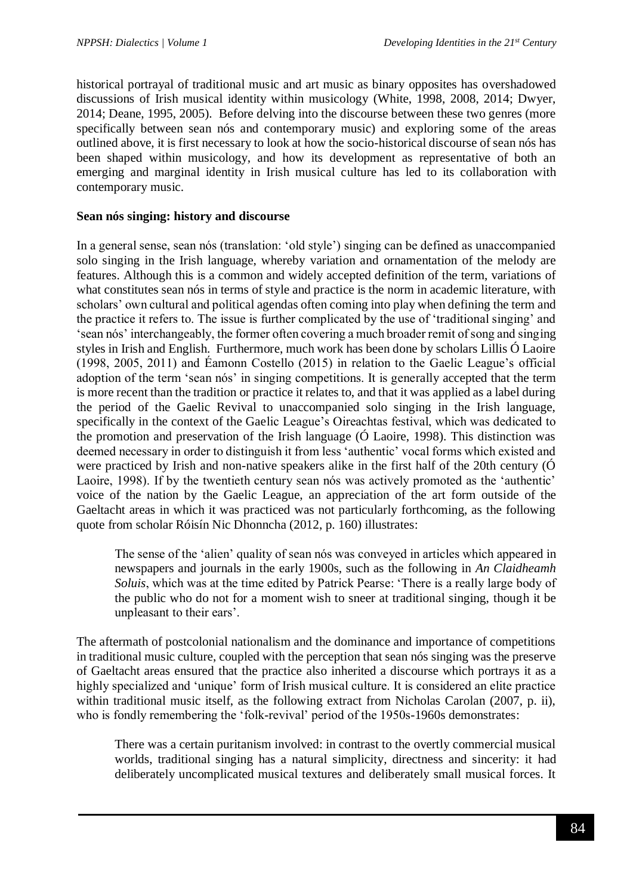historical portrayal of traditional music and art music as binary opposites has overshadowed discussions of Irish musical identity within musicology (White, 1998, 2008, 2014; Dwyer, 2014; Deane, 1995, 2005). Before delving into the discourse between these two genres (more specifically between sean nós and contemporary music) and exploring some of the areas outlined above, it is first necessary to look at how the socio-historical discourse of sean nós has been shaped within musicology, and how its development as representative of both an emerging and marginal identity in Irish musical culture has led to its collaboration with contemporary music.

#### **Sean nós singing: history and discourse**

In a general sense, sean nós (translation: 'old style') singing can be defined as unaccompanied solo singing in the Irish language, whereby variation and ornamentation of the melody are features. Although this is a common and widely accepted definition of the term, variations of what constitutes sean nós in terms of style and practice is the norm in academic literature, with scholars' own cultural and political agendas often coming into play when defining the term and the practice it refers to. The issue is further complicated by the use of 'traditional singing' and 'sean nós' interchangeably, the former often covering a much broader remit of song and singing styles in Irish and English. Furthermore, much work has been done by scholars Lillis Ó Laoire (1998, 2005, 2011) and Éamonn Costello (2015) in relation to the Gaelic League's official adoption of the term 'sean nós' in singing competitions. It is generally accepted that the term is more recent than the tradition or practice it relates to, and that it was applied as a label during the period of the Gaelic Revival to unaccompanied solo singing in the Irish language, specifically in the context of the Gaelic League's Oireachtas festival, which was dedicated to the promotion and preservation of the Irish language (Ó Laoire, 1998). This distinction was deemed necessary in order to distinguish it from less 'authentic' vocal forms which existed and were practiced by Irish and non-native speakers alike in the first half of the 20th century (Ó Laoire, 1998). If by the twentieth century sean nós was actively promoted as the 'authentic' voice of the nation by the Gaelic League, an appreciation of the art form outside of the Gaeltacht areas in which it was practiced was not particularly forthcoming, as the following quote from scholar Róisín Nic Dhonncha (2012, p. 160) illustrates:

The sense of the 'alien' quality of sean nós was conveyed in articles which appeared in newspapers and journals in the early 1900s, such as the following in *An Claidheamh Soluis*, which was at the time edited by Patrick Pearse: 'There is a really large body of the public who do not for a moment wish to sneer at traditional singing, though it be unpleasant to their ears'.

The aftermath of postcolonial nationalism and the dominance and importance of competitions in traditional music culture, coupled with the perception that sean nós singing was the preserve of Gaeltacht areas ensured that the practice also inherited a discourse which portrays it as a highly specialized and 'unique' form of Irish musical culture. It is considered an elite practice within traditional music itself, as the following extract from Nicholas Carolan (2007, p. ii), who is fondly remembering the 'folk-revival' period of the 1950s-1960s demonstrates:

There was a certain puritanism involved: in contrast to the overtly commercial musical worlds, traditional singing has a natural simplicity, directness and sincerity: it had deliberately uncomplicated musical textures and deliberately small musical forces. It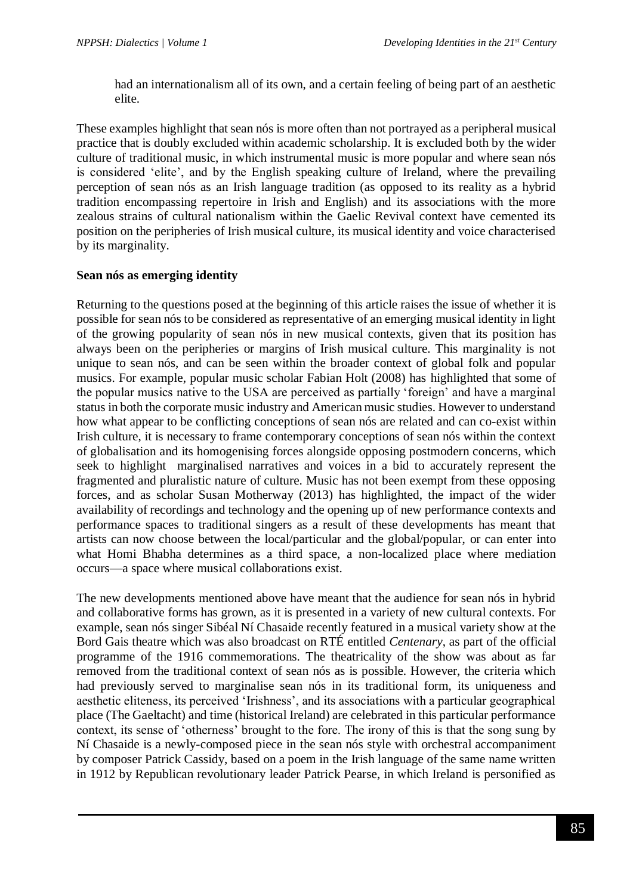had an internationalism all of its own, and a certain feeling of being part of an aesthetic elite.

These examples highlight that sean nós is more often than not portrayed as a peripheral musical practice that is doubly excluded within academic scholarship. It is excluded both by the wider culture of traditional music, in which instrumental music is more popular and where sean nós is considered 'elite', and by the English speaking culture of Ireland, where the prevailing perception of sean nós as an Irish language tradition (as opposed to its reality as a hybrid tradition encompassing repertoire in Irish and English) and its associations with the more zealous strains of cultural nationalism within the Gaelic Revival context have cemented its position on the peripheries of Irish musical culture, its musical identity and voice characterised by its marginality.

# **Sean nós as emerging identity**

Returning to the questions posed at the beginning of this article raises the issue of whether it is possible for sean nós to be considered as representative of an emerging musical identity in light of the growing popularity of sean nós in new musical contexts, given that its position has always been on the peripheries or margins of Irish musical culture. This marginality is not unique to sean nós, and can be seen within the broader context of global folk and popular musics. For example, popular music scholar Fabian Holt (2008) has highlighted that some of the popular musics native to the USA are perceived as partially 'foreign' and have a marginal status in both the corporate music industry and American music studies. However to understand how what appear to be conflicting conceptions of sean nós are related and can co-exist within Irish culture, it is necessary to frame contemporary conceptions of sean nós within the context of globalisation and its homogenising forces alongside opposing postmodern concerns, which seek to highlight marginalised narratives and voices in a bid to accurately represent the fragmented and pluralistic nature of culture. Music has not been exempt from these opposing forces, and as scholar Susan Motherway (2013) has highlighted, the impact of the wider availability of recordings and technology and the opening up of new performance contexts and performance spaces to traditional singers as a result of these developments has meant that artists can now choose between the local/particular and the global/popular, or can enter into what Homi Bhabha determines as a third space, a non-localized place where mediation occurs—a space where musical collaborations exist.

The new developments mentioned above have meant that the audience for sean nós in hybrid and collaborative forms has grown, as it is presented in a variety of new cultural contexts. For example, sean nós singer Sibéal Ní Chasaide recently featured in a musical variety show at the Bord Gais theatre which was also broadcast on RTÉ entitled *Centenary*, as part of the official programme of the 1916 commemorations. The theatricality of the show was about as far removed from the traditional context of sean nós as is possible. However, the criteria which had previously served to marginalise sean nós in its traditional form, its uniqueness and aesthetic eliteness, its perceived 'Irishness', and its associations with a particular geographical place (The Gaeltacht) and time (historical Ireland) are celebrated in this particular performance context, its sense of 'otherness' brought to the fore. The irony of this is that the song sung by Ní Chasaide is a newly-composed piece in the sean nós style with orchestral accompaniment by composer Patrick Cassidy, based on a poem in the Irish language of the same name written in 1912 by Republican revolutionary leader Patrick Pearse, in which Ireland is personified as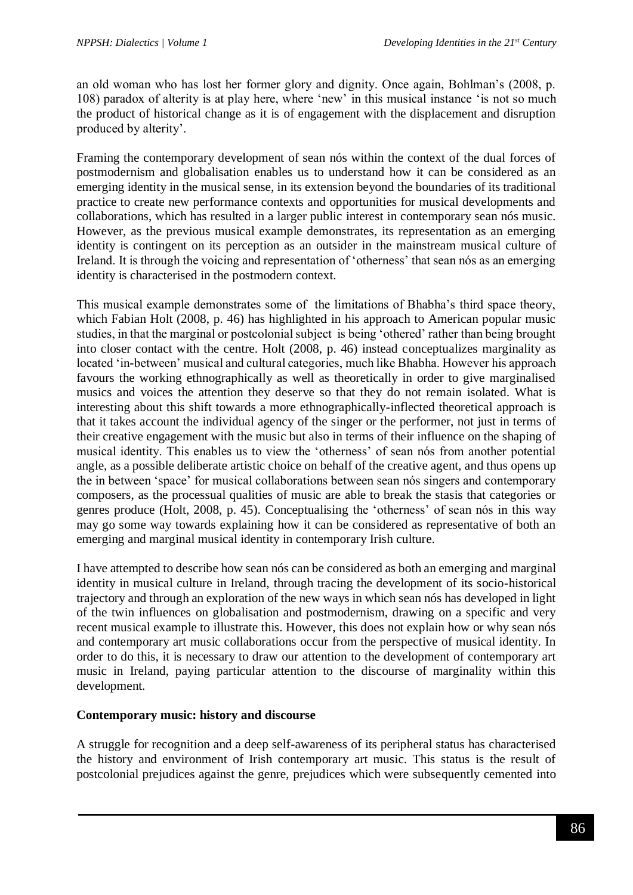an old woman who has lost her former glory and dignity. Once again, Bohlman's (2008, p. 108) paradox of alterity is at play here, where 'new' in this musical instance 'is not so much the product of historical change as it is of engagement with the displacement and disruption produced by alterity'.

Framing the contemporary development of sean nós within the context of the dual forces of postmodernism and globalisation enables us to understand how it can be considered as an emerging identity in the musical sense, in its extension beyond the boundaries of its traditional practice to create new performance contexts and opportunities for musical developments and collaborations, which has resulted in a larger public interest in contemporary sean nós music. However, as the previous musical example demonstrates, its representation as an emerging identity is contingent on its perception as an outsider in the mainstream musical culture of Ireland. It is through the voicing and representation of 'otherness' that sean nós as an emerging identity is characterised in the postmodern context.

This musical example demonstrates some of the limitations of Bhabha's third space theory, which Fabian Holt (2008, p. 46) has highlighted in his approach to American popular music studies, in that the marginal or postcolonial subject is being 'othered' rather than being brought into closer contact with the centre. Holt (2008, p. 46) instead conceptualizes marginality as located 'in-between' musical and cultural categories, much like Bhabha. However his approach favours the working ethnographically as well as theoretically in order to give marginalised musics and voices the attention they deserve so that they do not remain isolated. What is interesting about this shift towards a more ethnographically-inflected theoretical approach is that it takes account the individual agency of the singer or the performer, not just in terms of their creative engagement with the music but also in terms of their influence on the shaping of musical identity. This enables us to view the 'otherness' of sean nós from another potential angle, as a possible deliberate artistic choice on behalf of the creative agent, and thus opens up the in between 'space' for musical collaborations between sean nós singers and contemporary composers, as the processual qualities of music are able to break the stasis that categories or genres produce (Holt, 2008, p. 45). Conceptualising the 'otherness' of sean nós in this way may go some way towards explaining how it can be considered as representative of both an emerging and marginal musical identity in contemporary Irish culture.

I have attempted to describe how sean nós can be considered as both an emerging and marginal identity in musical culture in Ireland, through tracing the development of its socio-historical trajectory and through an exploration of the new ways in which sean nós has developed in light of the twin influences on globalisation and postmodernism, drawing on a specific and very recent musical example to illustrate this. However, this does not explain how or why sean nós and contemporary art music collaborations occur from the perspective of musical identity. In order to do this, it is necessary to draw our attention to the development of contemporary art music in Ireland, paying particular attention to the discourse of marginality within this development.

## **Contemporary music: history and discourse**

A struggle for recognition and a deep self-awareness of its peripheral status has characterised the history and environment of Irish contemporary art music. This status is the result of postcolonial prejudices against the genre, prejudices which were subsequently cemented into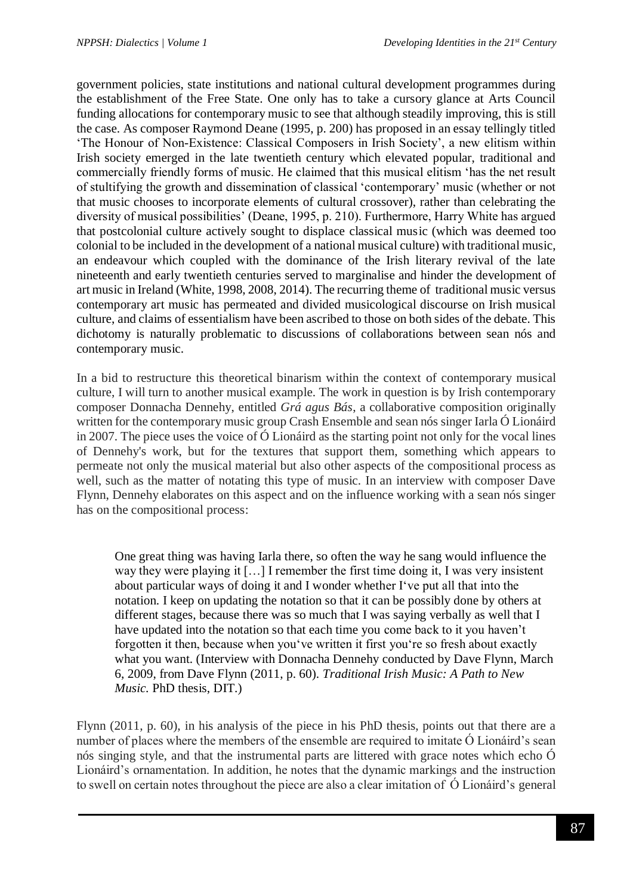government policies, state institutions and national cultural development programmes during the establishment of the Free State. One only has to take a cursory glance at Arts Council funding allocations for contemporary music to see that although steadily improving, this is still the case. As composer Raymond Deane (1995, p. 200) has proposed in an essay tellingly titled 'The Honour of Non-Existence: Classical Composers in Irish Society', a new elitism within Irish society emerged in the late twentieth century which elevated popular, traditional and commercially friendly forms of music. He claimed that this musical elitism 'has the net result of stultifying the growth and dissemination of classical 'contemporary' music (whether or not that music chooses to incorporate elements of cultural crossover), rather than celebrating the diversity of musical possibilities' (Deane, 1995, p. 210). Furthermore, Harry White has argued that postcolonial culture actively sought to displace classical music (which was deemed too colonial to be included in the development of a national musical culture) with traditional music, an endeavour which coupled with the dominance of the Irish literary revival of the late nineteenth and early twentieth centuries served to marginalise and hinder the development of art music in Ireland (White, 1998, 2008, 2014). The recurring theme of traditional music versus contemporary art music has permeated and divided musicological discourse on Irish musical culture, and claims of essentialism have been ascribed to those on both sides of the debate. This dichotomy is naturally problematic to discussions of collaborations between sean nós and contemporary music.

In a bid to restructure this theoretical binarism within the context of contemporary musical culture, I will turn to another musical example. The work in question is by Irish contemporary composer Donnacha Dennehy, entitled *Grá agus Bás*, a collaborative composition originally written for the contemporary music group Crash Ensemble and sean nós singer Iarla Ó Lionáird in 2007. The piece uses the voice of Ó Lionáird as the starting point not only for the vocal lines of Dennehy's work, but for the textures that support them, something which appears to permeate not only the musical material but also other aspects of the compositional process as well, such as the matter of notating this type of music. In an interview with composer Dave Flynn, Dennehy elaborates on this aspect and on the influence working with a sean nós singer has on the compositional process:

One great thing was having Iarla there, so often the way he sang would influence the way they were playing it […] I remember the first time doing it, I was very insistent about particular ways of doing it and I wonder whether I've put all that into the notation. I keep on updating the notation so that it can be possibly done by others at different stages, because there was so much that I was saying verbally as well that I have updated into the notation so that each time you come back to it you haven't forgotten it then, because when you've written it first you're so fresh about exactly what you want. (Interview with Donnacha Dennehy conducted by Dave Flynn, March 6, 2009, from Dave Flynn (2011, p. 60). *Traditional Irish Music: A Path to New Music.* PhD thesis, DIT.)

Flynn (2011, p. 60), in his analysis of the piece in his PhD thesis, points out that there are a number of places where the members of the ensemble are required to imitate  $\acute{o}$  Lionáird's sean nós singing style, and that the instrumental parts are littered with grace notes which echo Ó Lionáird's ornamentation. In addition, he notes that the dynamic markings and the instruction to swell on certain notes throughout the piece are also a clear imitation of Ó Lionáird's general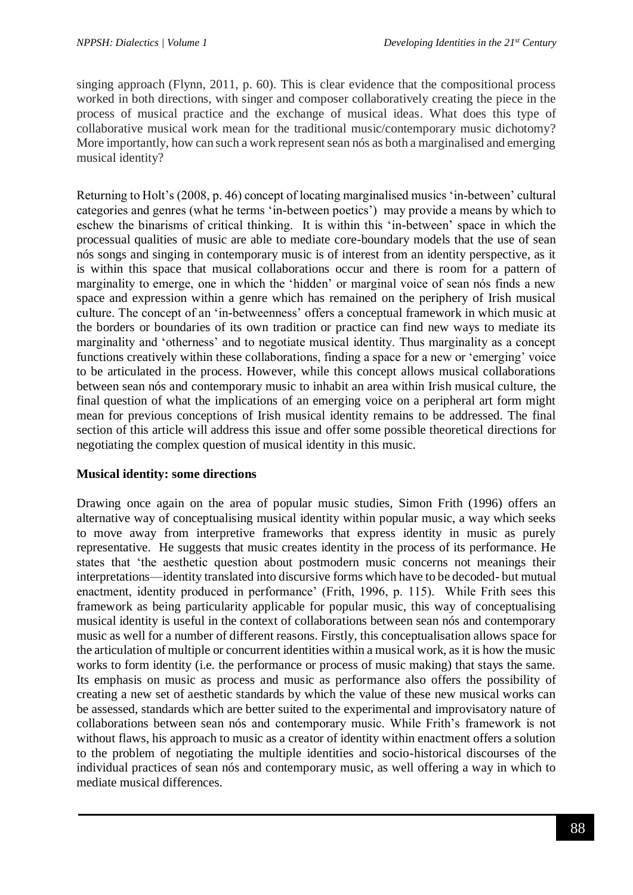singing approach (Flynn, 2011, p. 60). This is clear evidence that the compositional process worked in both directions, with singer and composer collaboratively creating the piece in the process of musical practice and the exchange of musical ideas. What does this type of collaborative musical work mean for the traditional music/contemporary music dichotomy? More importantly, how can such a work represent sean nós as both a marginalised and emerging musical identity?

Returning to Holt's (2008, p. 46) concept of locating marginalised musics 'in-between' cultural categories and genres (what he terms 'in-between poetics') may provide a means by which to eschew the binarisms of critical thinking. It is within this 'in-between' space in which the processual qualities of music are able to mediate core-boundary models that the use of sean nós songs and singing in contemporary music is of interest from an identity perspective, as it is within this space that musical collaborations occur and there is room for a pattern of marginality to emerge, one in which the 'hidden' or marginal voice of sean nós finds a new space and expression within a genre which has remained on the periphery of Irish musical culture. The concept of an 'in-betweenness' offers a conceptual framework in which music at the borders or boundaries of its own tradition or practice can find new ways to mediate its marginality and 'otherness' and to negotiate musical identity. Thus marginality as a concept functions creatively within these collaborations, finding a space for a new or 'emerging' voice to be articulated in the process. However, while this concept allows musical collaborations between sean nós and contemporary music to inhabit an area within Irish musical culture, the final question of what the implications of an emerging voice on a peripheral art form might mean for previous conceptions of Irish musical identity remains to be addressed. The final section of this article will address this issue and offer some possible theoretical directions for negotiating the complex question of musical identity in this music.

## **Musical identity: some directions**

Drawing once again on the area of popular music studies, Simon Frith (1996) offers an alternative way of conceptualising musical identity within popular music, a way which seeks to move away from interpretive frameworks that express identity in music as purely representative. He suggests that music creates identity in the process of its performance. He states that 'the aesthetic question about postmodern music concerns not meanings their interpretations—identity translated into discursive forms which have to be decoded- but mutual enactment, identity produced in performance' (Frith, 1996, p. 115). While Frith sees this framework as being particularity applicable for popular music, this way of conceptualising musical identity is useful in the context of collaborations between sean nós and contemporary music as well for a number of different reasons. Firstly, this conceptualisation allows space for the articulation of multiple or concurrent identities within a musical work, as it is how the music works to form identity (i.e. the performance or process of music making) that stays the same. Its emphasis on music as process and music as performance also offers the possibility of creating a new set of aesthetic standards by which the value of these new musical works can be assessed, standards which are better suited to the experimental and improvisatory nature of collaborations between sean nós and contemporary music. While Frith's framework is not without flaws, his approach to music as a creator of identity within enactment offers a solution to the problem of negotiating the multiple identities and socio-historical discourses of the individual practices of sean nós and contemporary music, as well offering a way in which to mediate musical differences.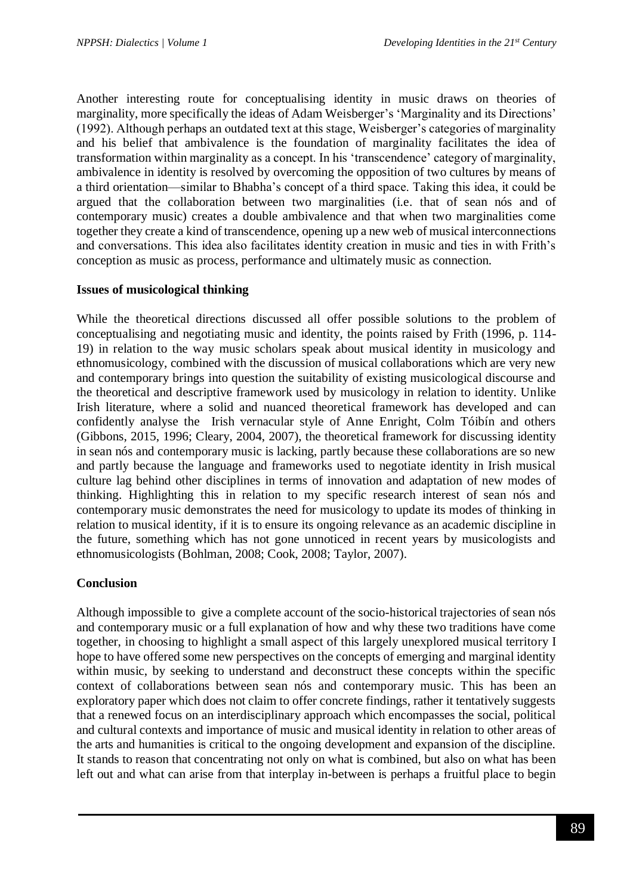Another interesting route for conceptualising identity in music draws on theories of marginality, more specifically the ideas of Adam Weisberger's 'Marginality and its Directions' (1992). Although perhaps an outdated text at this stage, Weisberger's categories of marginality and his belief that ambivalence is the foundation of marginality facilitates the idea of transformation within marginality as a concept. In his 'transcendence' category of marginality, ambivalence in identity is resolved by overcoming the opposition of two cultures by means of a third orientation—similar to Bhabha's concept of a third space. Taking this idea, it could be argued that the collaboration between two marginalities (i.e. that of sean nós and of contemporary music) creates a double ambivalence and that when two marginalities come together they create a kind of transcendence, opening up a new web of musical interconnections and conversations. This idea also facilitates identity creation in music and ties in with Frith's conception as music as process, performance and ultimately music as connection.

## **Issues of musicological thinking**

While the theoretical directions discussed all offer possible solutions to the problem of conceptualising and negotiating music and identity, the points raised by Frith (1996, p. 114- 19) in relation to the way music scholars speak about musical identity in musicology and ethnomusicology, combined with the discussion of musical collaborations which are very new and contemporary brings into question the suitability of existing musicological discourse and the theoretical and descriptive framework used by musicology in relation to identity. Unlike Irish literature, where a solid and nuanced theoretical framework has developed and can confidently analyse the Irish vernacular style of Anne Enright, Colm Tóibín and others (Gibbons, 2015, 1996; Cleary, 2004, 2007), the theoretical framework for discussing identity in sean nós and contemporary music is lacking, partly because these collaborations are so new and partly because the language and frameworks used to negotiate identity in Irish musical culture lag behind other disciplines in terms of innovation and adaptation of new modes of thinking. Highlighting this in relation to my specific research interest of sean nós and contemporary music demonstrates the need for musicology to update its modes of thinking in relation to musical identity, if it is to ensure its ongoing relevance as an academic discipline in the future, something which has not gone unnoticed in recent years by musicologists and ethnomusicologists (Bohlman, 2008; Cook, 2008; Taylor, 2007).

## **Conclusion**

Although impossible to give a complete account of the socio-historical trajectories of sean nós and contemporary music or a full explanation of how and why these two traditions have come together, in choosing to highlight a small aspect of this largely unexplored musical territory I hope to have offered some new perspectives on the concepts of emerging and marginal identity within music, by seeking to understand and deconstruct these concepts within the specific context of collaborations between sean nós and contemporary music. This has been an exploratory paper which does not claim to offer concrete findings, rather it tentatively suggests that a renewed focus on an interdisciplinary approach which encompasses the social, political and cultural contexts and importance of music and musical identity in relation to other areas of the arts and humanities is critical to the ongoing development and expansion of the discipline. It stands to reason that concentrating not only on what is combined, but also on what has been left out and what can arise from that interplay in-between is perhaps a fruitful place to begin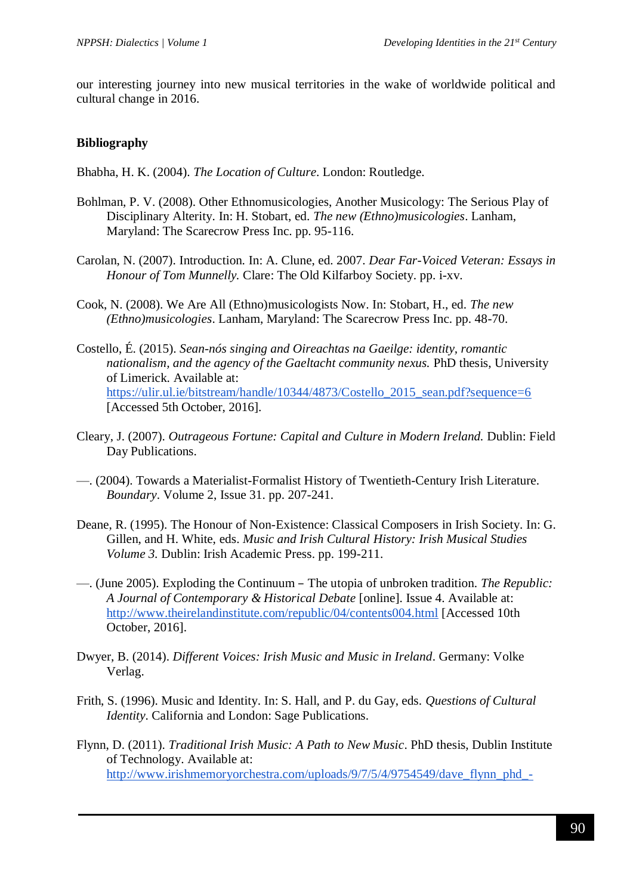our interesting journey into new musical territories in the wake of worldwide political and cultural change in 2016.

#### **Bibliography**

Bhabha, H. K. (2004). *The Location of Culture*. London: Routledge.

- Bohlman, P. V. (2008). Other Ethnomusicologies, Another Musicology: The Serious Play of Disciplinary Alterity. In: H. Stobart, ed. *The new (Ethno)musicologies*. Lanham, Maryland: The Scarecrow Press Inc. pp. 95-116.
- Carolan, N. (2007). Introduction. In: A. Clune, ed. 2007. *Dear Far-Voiced Veteran: Essays in Honour of Tom Munnelly.* Clare: The Old Kilfarboy Society. pp. i-xv.
- Cook, N. (2008). We Are All (Ethno)musicologists Now. In: Stobart, H., ed. *The new (Ethno)musicologies*. Lanham, Maryland: The Scarecrow Press Inc. pp. 48-70.
- Costello, É. (2015). *Sean-nós singing and Oireachtas na Gaeilge: identity, romantic nationalism, and the agency of the Gaeltacht community nexus. PhD thesis, University* of Limerick. Available at: [https://ulir.ul.ie/bitstream/handle/10344/4873/Costello\\_2015\\_sean.pdf?sequence=6](https://ulir.ul.ie/bitstream/handle/10344/4873/Costello_2015_sean.pdf?sequence=6) [Accessed 5th October, 2016].
- Cleary, J. (2007). *Outrageous Fortune: Capital and Culture in Modern Ireland.* Dublin: Field Day Publications.
- —. (2004). Towards a Materialist-Formalist History of Twentieth-Century Irish Literature. *Boundary*. Volume 2, Issue 31. pp. 207-241.
- Deane, R. (1995). The Honour of Non-Existence: Classical Composers in Irish Society. In: G. Gillen, and H. White, eds. *Music and Irish Cultural History: Irish Musical Studies Volume 3.* Dublin: Irish Academic Press. pp. 199-211.
- —. (June 2005). Exploding the Continuum The utopia of unbroken tradition. *The Republic: A Journal of Contemporary & Historical Debate* [online]. Issue 4. Available at: <http://www.theirelandinstitute.com/republic/04/contents004.html> [Accessed 10th October, 2016].
- Dwyer, B. (2014). *Different Voices: Irish Music and Music in Ireland*. Germany: Volke Verlag.
- Frith, S. (1996). Music and Identity. In: S. Hall, and P. du Gay, eds. *Questions of Cultural Identity*. California and London: Sage Publications.
- Flynn, D. (2011). *Traditional Irish Music: A Path to New Music*. PhD thesis, Dublin Institute of Technology. Available at: [http://www.irishmemoryorchestra.com/uploads/9/7/5/4/9754549/dave\\_flynn\\_phd\\_-](http://www.irishmemoryorchestra.com/uploads/9/7/5/4/9754549/dave_flynn_phd_-_traditional_irish_music_a_path_to_new_music.pdf)